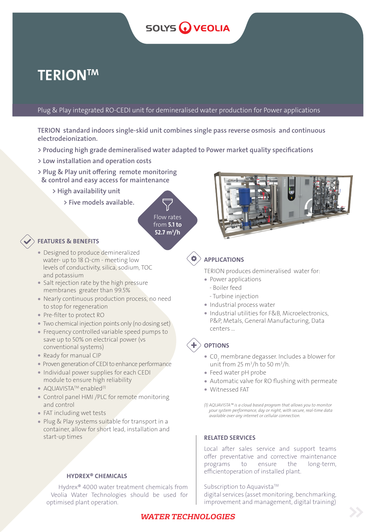# **SOLYS WEOLIA**

# **TERIONTM**

Plug & Play integrated RO-CEDI unit for demineralised water production for Power applications

TERION standard indoors single-skid unit combines single pass reverse osmosis and continuous electrodeionization.

- > Producing high grade demineralised water adapted to Power market quality specifications
- > Low installation and operation costs
- > Plug & Play unit offering remote monitoring & control and easy access for maintenance
	- > High availability unit
		- > Five models available.

Flow rates from **5.1 to** 52.7 m<sup>3</sup>/h



- Designed to produce demineralized water- up to 18  $Ω$ -cm - meeting low levels of conductivity, silica, sodium, TOC and potassium
- Salt rejection rate by the high pressure membranes greater than 99.5%
- � Nearly continuous production process, no need to stop for regeneration
- � Pre-filter to protect RO
- � Two chemical injection points only (no dosing set)
- � Frequency controlled variable speed pumps to save up to 50% on electrical power (vs conventional systems)
- � Ready for manual CIP
- � Proven generation of CEDI to enhance performance
- � Individual power supplies for each CEDI module to ensure high reliability
- $\bullet$  AQUAVISTA<sup>TM</sup> enabled<sup>(1)</sup>
- � Control panel HMI /PLC for remote monitoring and control
- FAT including wet tests
- Plug & Play systems suitable for transport in a container, allow for short lead, installation and start-up times

## HYDREX® CHEMICALS

Hydrex® 4000 water treatment chemicals from Veolia Water Technologies should be used for optimised plant operation.



# APPLICATIONS

TERION produces demineralised water for:

- Power applications
	- Boiler feed
	- Turbine injection
- � Industrial process water
- � Industrial utilities for F&B, Microelectronics, P&P, Metals, General Manufacturing, Data centers …

# **OPTIONS**

- $\bullet$  CO<sub>2</sub> membrane degasser. Includes a blower for unit from 25 m<sup>3</sup>/h to 50 m<sup>3</sup>/h.
- � Feed water pH probe
- � Automatic valve for RO flushing with permeate
- � Witnessed FAT

*(1) AQUAVISTA™ is a cloud based program that allows you to monitor your system performance, day or night, with secure, real-time data available over any internet or cellular connection.*

## RELATED SERVICES

Local after sales service and support teams offer preventative and corrective maintenance programs to ensure the long-term, efficientoperation of installed plant.

Subscription to Aquavista™ digital services (asset monitoring, benchmarking, improvement and management, digital training)

# *WATER TECHNOLOGIES*